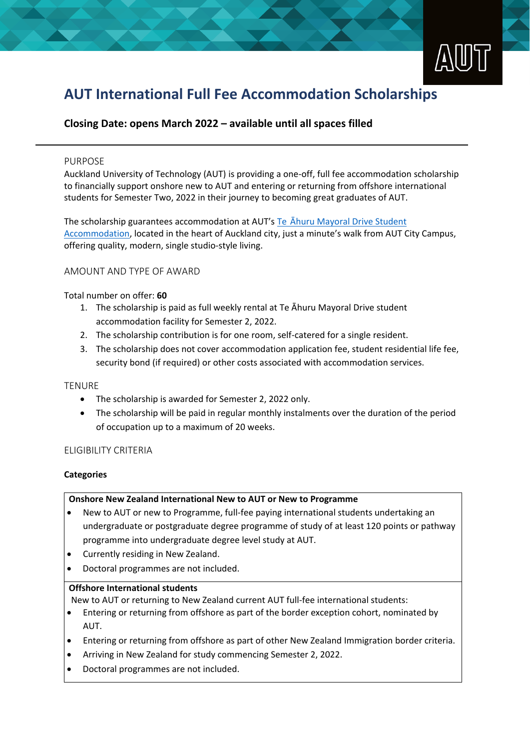

# **AUT International Full Fee Accommodation Scholarships**

# **Closing Date: opens March 2022 – available until all spaces filled**

#### PURPOSE

Auckland University of Technology (AUT) is providing a one-off, full fee accommodation scholarship to financially support onshore new to AUT and entering or returning from offshore international students for Semester Two, 2022 in their journey to becoming great graduates of AUT.

The scholarship guarantees accommodation at AUT's Te [Āhuru Mayoral Drive Student](https://www.aut.ac.nz/student-life/accommodation/te-ahuru-mayoral-drive-student-accommodation-city-campus)  [Accommodation](https://www.aut.ac.nz/student-life/accommodation/te-ahuru-mayoral-drive-student-accommodation-city-campus), located in the heart of Auckland city, just a minute's walk from AUT City Campus, offering quality, modern, single studio-style living.

# AMOUNT AND TYPE OF AWARD

### Total number on offer: **60**

- 1. The scholarship is paid as full weekly rental at Te Āhuru Mayoral Drive student accommodation facility for Semester 2, 2022.
- 2. The scholarship contribution is for one room, self-catered for a single resident.
- 3. The scholarship does not cover accommodation application fee, student residential life fee, security bond (if required) or other costs associated with accommodation services.

#### **TENURE**

- The scholarship is awarded for Semester 2, 2022 only.
- The scholarship will be paid in regular monthly instalments over the duration of the period of occupation up to a maximum of 20 weeks.

# ELIGIBILITY CRITERIA

#### **Categories**

#### **Onshore New Zealand International New to AUT or New to Programme**

- New to AUT or new to Programme, full-fee paying international students undertaking an undergraduate or postgraduate degree programme of study of at least 120 points or pathway programme into undergraduate degree level study at AUT.
- Currently residing in New Zealand.
- Doctoral programmes are not included.

#### **Offshore International students**

New to AUT or returning to New Zealand current AUT full-fee international students:

- Entering or returning from offshore as part of the border exception cohort, nominated by AUT.
- Entering or returning from offshore as part of other New Zealand Immigration border criteria.
- Arriving in New Zealand for study commencing Semester 2, 2022.
- Doctoral programmes are not included.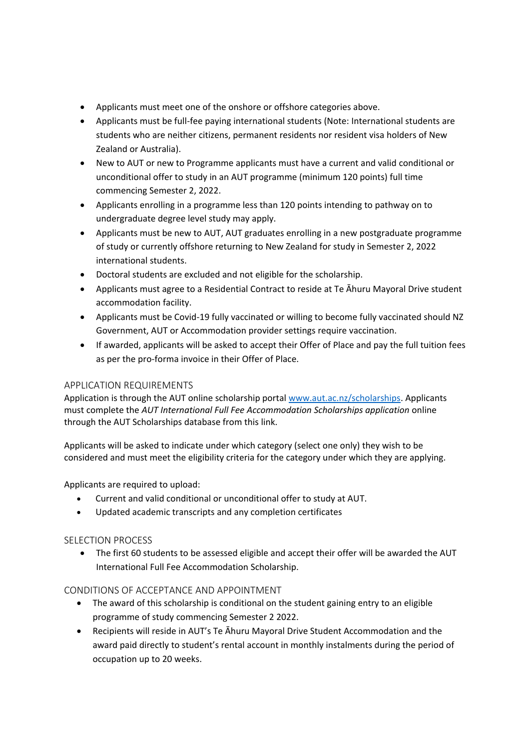- Applicants must meet one of the onshore or offshore categories above.
- Applicants must be full-fee paying international students (Note: International students are students who are neither citizens, permanent residents nor resident visa holders of New Zealand or Australia).
- New to AUT or new to Programme applicants must have a current and valid conditional or unconditional offer to study in an AUT programme (minimum 120 points) full time commencing Semester 2, 2022.
- Applicants enrolling in a programme less than 120 points intending to pathway on to undergraduate degree level study may apply.
- Applicants must be new to AUT, AUT graduates enrolling in a new postgraduate programme of study or currently offshore returning to New Zealand for study in Semester 2, 2022 international students.
- Doctoral students are excluded and not eligible for the scholarship.
- Applicants must agree to a Residential Contract to reside at Te Āhuru Mayoral Drive student accommodation facility.
- Applicants must be Covid-19 fully vaccinated or willing to become fully vaccinated should NZ Government, AUT or Accommodation provider settings require vaccination.
- If awarded, applicants will be asked to accept their Offer of Place and pay the full tuition fees as per the pro-forma invoice in their Offer of Place.

# APPLICATION REQUIREMENTS

Application is through the AUT online scholarship portal [www.aut.ac.nz/scholarships.](http://www.aut.ac.nz/scholarships) Applicants must complete the *AUT International Full Fee Accommodation Scholarships application* online through the AUT Scholarships database from this link.

Applicants will be asked to indicate under which category (select one only) they wish to be considered and must meet the eligibility criteria for the category under which they are applying.

Applicants are required to upload:

- Current and valid conditional or unconditional offer to study at AUT.
- Updated academic transcripts and any completion certificates

# SELECTION PROCESS

• The first 60 students to be assessed eligible and accept their offer will be awarded the AUT International Full Fee Accommodation Scholarship.

# CONDITIONS OF ACCEPTANCE AND APPOINTMENT

- The award of this scholarship is conditional on the student gaining entry to an eligible programme of study commencing Semester 2 2022.
- Recipients will reside in AUT's Te Āhuru Mayoral Drive Student Accommodation and the award paid directly to student's rental account in monthly instalments during the period of occupation up to 20 weeks.